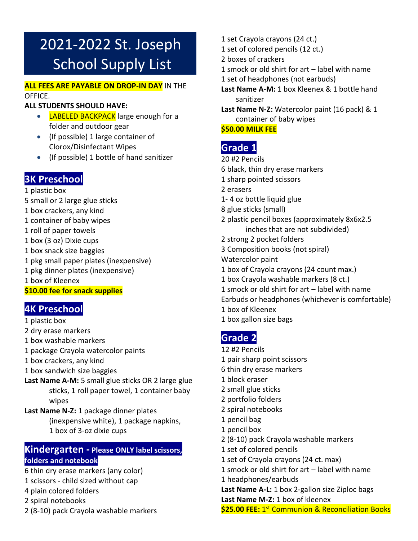# 2021-2022 St. Joseph School Supply List

#### **ALL FEES ARE PAYABLE ON DROP-IN DAY** IN THE OFFICE.

#### **ALL STUDENTS SHOULD HAVE:**

- LABELED BACKPACK large enough for a folder and outdoor gear
- (If possible) 1 large container of Clorox/Disinfectant Wipes
- (If possible) 1 bottle of hand sanitizer

### **3K Preschool**

1 plastic box 5 small or 2 large glue sticks 1 box crackers, any kind

- 1 container of baby wipes
- 1 roll of paper towels
- 1 box (3 oz) Dixie cups
- 1 box snack size baggies
- 1 pkg small paper plates (inexpensive)
- 1 pkg dinner plates (inexpensive)

1 box of Kleenex

**\$10.00 fee for snack supplies**

# **4K Preschool**

#### 1 plastic box

- 2 dry erase markers
- 1 box washable markers
- 1 package Crayola watercolor paints
- 1 box crackers, any kind
- 1 box sandwich size baggies
- **Last Name A-M:** 5 small glue sticks OR 2 large glue sticks, 1 roll paper towel, 1 container baby wipes
- **Last Name N-Z:** 1 package dinner plates (inexpensive white), 1 package napkins, 1 box of 3-oz dixie cups

#### **Kindergarten - Please ONLY label scissors, folders and notebook**

- 6 thin dry erase markers (any color)
- 1 scissors child sized without cap
- 4 plain colored folders
- 2 spiral notebooks
- 2 (8-10) pack Crayola washable markers
- 1 set Crayola crayons (24 ct.)
- 1 set of colored pencils (12 ct.)
- 2 boxes of crackers
- 1 smock or old shirt for art label with name
- 1 set of headphones (not earbuds)
- **Last Name A-M:** 1 box Kleenex & 1 bottle hand sanitizer
- **Last Name N-Z:** Watercolor paint (16 pack) & 1 container of baby wipes

#### **\$50.00 MILK FEE**

# **Grade 1**

- 20 #2 Pencils
- 6 black, thin dry erase markers
- 1 sharp pointed scissors
- 2 erasers
- 1- 4 oz bottle liquid glue
- 8 glue sticks (small)
- 2 plastic pencil boxes (approximately 8x6x2.5 inches that are not subdivided)
- 2 strong 2 pocket folders
- 3 Composition books (not spiral)
- Watercolor paint
- 1 box of Crayola crayons (24 count max.)
- 1 box Crayola washable markers (8 ct.)
- 1 smock or old shirt for art label with name
- Earbuds or headphones (whichever is comfortable)
- 1 box of Kleenex
- 1 box gallon size bags

# **Grade 2**

- 12 #2 Pencils 1 pair sharp point scissors 6 thin dry erase markers 1 block eraser 2 small glue sticks 2 portfolio folders 2 spiral notebooks 1 pencil bag 1 pencil box 2 (8-10) pack Crayola washable markers 1 set of colored pencils 1 set of Crayola crayons (24 ct. max) 1 smock or old shirt for art – label with name 1 headphones/earbuds **Last Name A-L:** 1 box 2-gallon size Ziploc bags
	- **Last Name M-Z:** 1 box of kleenex
	- **\$25.00 FEE:** 1 st Communion & Reconciliation Books